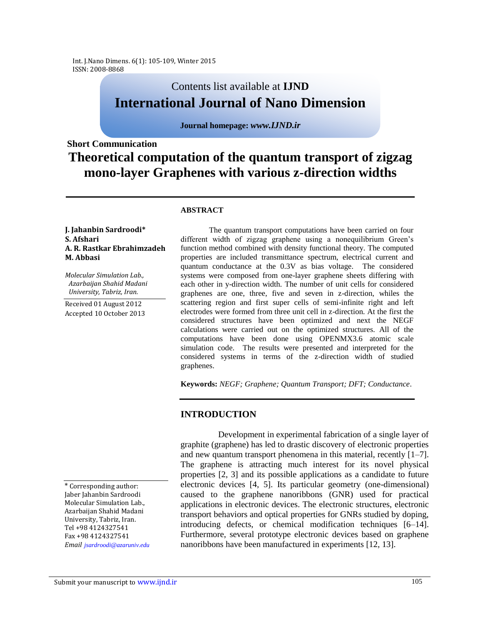Int. J.Nano Dimens. 6(1): 105-109, Winter 2015 ISSN: 2008-8868

# Contents list available at **IJND International Journal of Nano Dimension**

### **Journal homepage:** *www.IJND.ir*

# **Short Communication Theoretical computation of the quantum transport of zigzag mono-layer Graphenes with various z-direction widths**

#### **ABSTRACT**

#### **J. Jahanbin Sardroodi\* S. Afshari A. R. Rastkar Ebrahimzadeh M. Abbasi**

*Molecular Simulation Lab., Azarbaijan Shahid Madani University, Tabriz, Iran.*

Received 01 August 2012 Accepted 10 October 2013

The quantum transport computations have been carried on four different width of zigzag graphene using a nonequilibrium Green's function method combined with density functional theory. The computed properties are included transmittance spectrum, electrical current and quantum conductance at the 0.3V as bias voltage. The considered systems were composed from one-layer graphene sheets differing with each other in y-direction width. The number of unit cells for considered graphenes are one, three, five and seven in z-direction, whiles the scattering region and first super cells of semi-infinite right and left electrodes were formed from three unit cell in z-direction. At the first the considered structures have been optimized and next the NEGF calculations were carried out on the optimized structures. All of the computations have been done using OPENMX3.6 atomic scale simulation code. The results were presented and interpreted for the considered systems in terms of the z-direction width of studied graphenes.

**Keywords:** *NEGF; Graphene; Quantum Transport; DFT; Conductance*.

## **INTRODUCTION**

Development in experimental fabrication of a single layer of graphite (graphene) has led to drastic discovery of electronic properties and new quantum transport phenomena in this material, recently [1–7]. The graphene is attracting much interest for its novel physical properties [2, 3] and its possible applications as a candidate to future electronic devices [4, 5]. Its particular geometry (one-dimensional) caused to the graphene nanoribbons (GNR) used for practical applications in electronic devices. The electronic structures, electronic transport behaviors and optical properties for GNRs studied by doping, introducing defects, or chemical modification techniques [6–14]. Furthermore, several prototype electronic devices based on graphene nanoribbons have been manufactured in experiments [12, 13].

\* Corresponding author: Jaber Jahanbin Sardroodi Molecular Simulation Lab., Azarbaijan Shahid Madani University, Tabriz, Iran. Tel +98 4124327541 Fax +98 4124327541 *Email jsardroodi@azaruniv.edu*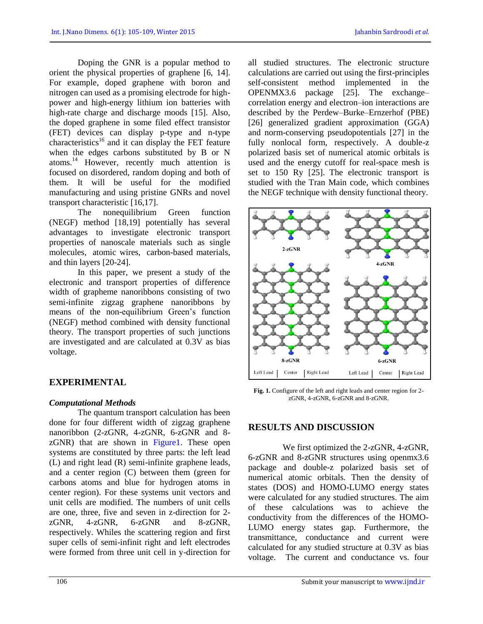Doping the GNR is a popular method to orient the physical properties of graphene [6, 14]. For example, doped graphene with boron and nitrogen can used as a promising electrode for highpower and high-energy lithium ion batteries with high-rate charge and discharge moods [15]. Also, the doped graphene in some filed effect transistor (FET) devices can display p-type and n-type characteristics<sup>16</sup> and it can display the FET feature when the edges carbons substituted by B or N atoms.<sup>14</sup> However, recently much attention is focused on disordered, random doping and both of them. It will be useful for the modified manufacturing and using pristine GNRs and novel transport characteristic [16,17].

The nonequilibrium Green function (NEGF) method [18,19] potentially has several advantages to investigate electronic transport properties of nanoscale materials such as single molecules, atomic wires, carbon-based materials, and thin layers [20-24].

In this paper, we present a study of the electronic and transport properties of difference width of grapheme nanoribbons consisting of two semi-infinite zigzag graphene nanoribbons by means of the non-equilibrium Green's function (NEGF) method combined with density functional theory. The transport properties of such junctions are investigated and are calculated at 0.3V as bias voltage.

# **EXPERIMENTAL**

## *Computational Methods*

The quantum transport calculation has been done for four different width of zigzag graphene nanoribbon (2-zGNR, 4-zGNR, 6-zGNR and 8 zGNR) that are shown in Figure1. These open systems are constituted by three parts: the left lead (L) and right lead (R) semi-infinite graphene leads, and a center region (C) between them (green for carbons atoms and blue for hydrogen atoms in center region). For these systems unit vectors and unit cells are modified. The numbers of unit cells are one, three, five and seven in z-direction for 2 zGNR, 4-zGNR, 6-zGNR and 8-zGNR, respectively. Whiles the scattering region and first super cells of semi-infinit right and left electrodes were formed from three unit cell in y-direction for

all studied structures. The electronic structure calculations are carried out using the first-principles self-consistent method implemented in the OPENMX3.6 package [25]. The exchange– correlation energy and electron–ion interactions are described by the Perdew–Burke–Ernzerhof (PBE) [26] generalized gradient approximation (GGA) and norm-conserving pseudopotentials [27] in the fully nonlocal form, respectively. A double-z polarized basis set of numerical atomic orbitals is used and the energy cutoff for real-space mesh is set to 150 Ry [25]. The electronic transport is studied with the Tran Main code, which combines the NEGF technique with density functional theory.



**Fig. 1.** Configure of the left and right leads and center region for 2 zGNR, 4-zGNR, 6-zGNR and 8-zGNR.

# **RESULTS AND DISCUSSION**

We first optimized the 2-zGNR, 4-zGNR, 6-zGNR and 8-zGNR structures using openmx3.6 package and double-z polarized basis set of numerical atomic orbitals. Then the density of states (DOS) and HOMO-LUMO energy states were calculated for any studied structures. The aim of these calculations was to achieve the conductivity from the differences of the HOMO-LUMO energy states gap. Furthermore, the transmittance, conductance and current were calculated for any studied structure at 0.3V as bias voltage. The current and conductance vs. four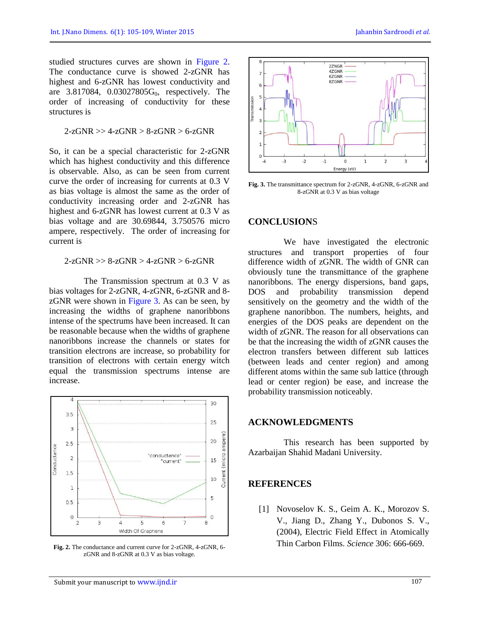studied structures curves are shown in Figure 2. The conductance curve is showed 2-zGNR has highest and 6-zGNR has lowest conductivity and are  $3.817084$ ,  $0.03027805G_0$ , respectively. The order of increasing of conductivity for these structures is

$$
2\text{-}zGNR >> 4\text{-}zGNR > 8\text{-}zGNR > 6\text{-}zGNR
$$

So, it can be a special characteristic for 2-zGNR which has highest conductivity and this difference is observable. Also, as can be seen from current curve the order of increasing for currents at 0.3 V as bias voltage is almost the same as the order of conductivity increasing order and 2-zGNR has highest and 6-zGNR has lowest current at 0.3 V as bias voltage and are 30.69844, 3.750576 micro ampere, respectively. The order of increasing for current is

 $2$ -zGNR  $> 8$ -zGNR  $> 4$ -zGNR  $> 6$ -zGNR

The Transmission spectrum at 0.3 V as bias voltages for 2-zGNR, 4-zGNR, 6-zGNR and 8 zGNR were shown in Figure 3. As can be seen, by increasing the widths of graphene nanoribbons intense of the spectrums have been increased. It can be reasonable because when the widths of graphene nanoribbons increase the channels or states for transition electrons are increase, so probability for transition of electrons with certain energy witch equal the transmission spectrums intense are increase.



**Fig. 2.** The conductance and current curve for 2-zGNR, 4-zGNR, 6 zGNR and 8-zGNR at 0.3 V as bias voltage.



**Fig. 3.** The transmittance spectrum for 2-zGNR, 4-zGNR, 6-zGNR and 8-zGNR at 0.3 V as bias voltage

## **CONCLUSION**S

We have investigated the electronic structures and transport properties of four difference width of zGNR. The width of GNR can obviously tune the transmittance of the graphene nanoribbons. The energy dispersions, band gaps, DOS and probability transmission depend sensitively on the geometry and the width of the graphene nanoribbon. The numbers, heights, and energies of the DOS peaks are dependent on the width of zGNR. The reason for all observations can be that the increasing the width of zGNR causes the electron transfers between different sub lattices (between leads and center region) and among different atoms within the same sub lattice (through lead or center region) be ease, and increase the probability transmission noticeably.

## **ACKNOWLEDGMENTS**

This research has been supported by Azarbaijan Shahid Madani University.

### **REFERENCES**

[1] Novoselov K. S., Geim A. K., Morozov S. V., Jiang D., Zhang Y., Dubonos S. V., (2004), Electric Field Effect in Atomically Thin Carbon Films. *Science* 306: 666-669.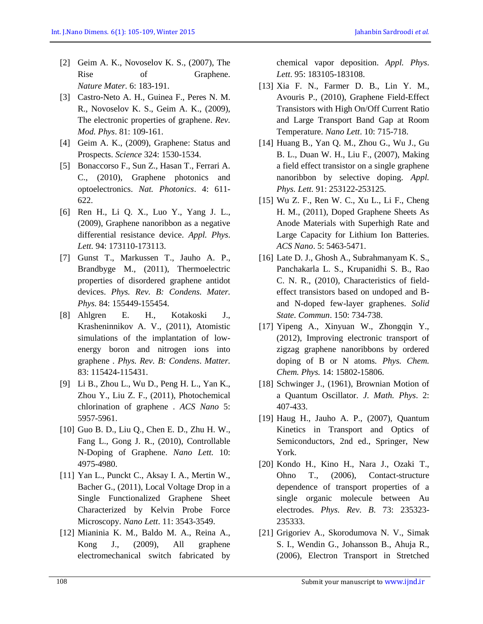- [2] Geim A. K., Novoselov K. S., (2007), The Rise of Graphene. *Nature Mater.* 6: 183-191.
- [3] Castro-Neto A. H., Guinea F., Peres N. M. R., Novoselov K. S., Geim A. K., (2009), The electronic properties of graphene. *Rev. Mod. Phys*. 81: 109-161.
- [4] Geim A. K., (2009), Graphene: Status and Prospects. *Science* 324: 1530-1534.
- [5] Bonaccorso F., Sun Z., Hasan T., Ferrari A. C., (2010), Graphene photonics and optoelectronics. *Nat. Photonics*. 4: 611- 622.
- [6] Ren H., Li Q. X., Luo Y., Yang J. L., (2009), Graphene nanoribbon as a negative differential resistance device. *Appl. Phys*. *Lett.* 94: 173110-173113.
- [7] Gunst T., Markussen T., Jauho A. P., Brandbyge M., (2011), Thermoelectric properties of disordered graphene antidot devices. *Phys. Rev. B: Condens. Mater. Phys.* 84: 155449-155454.
- [8] Ahlgren E. H., Kotakoski J., Krasheninnikov A. V., (2011), Atomistic simulations of the implantation of lowenergy boron and nitrogen ions into graphene . *Phys. Rev. B: Condens*. *Matter.* 83: 115424-115431.
- [9] Li B., Zhou L., Wu D., Peng H. L., Yan K., Zhou Y., Liu Z. F., (2011), Photochemical chlorination of graphene . *ACS Nano* 5: 5957-5961.
- [10] Guo B. D., Liu Q., Chen E. D., Zhu H. W., Fang L., Gong J. R., (2010), Controllable N-Doping of Graphene. *Nano Lett.* 10: 4975-4980.
- [11] Yan L., Punckt C., Aksay I. A., Mertin W., Bacher G., (2011), Local Voltage Drop in a Single Functionalized Graphene Sheet Characterized by Kelvin Probe Force Microscopy. *Nano Lett*. 11: 3543-3549.
- [12] Mianinia K. M., Baldo M. A., Reina A., Kong J., (2009), All graphene electromechanical switch fabricated by

chemical vapor deposition. *Appl. Phys*. *Lett*. 95: 183105-183108.

- [13] Xia F. N., Farmer D. B., Lin Y. M., Avouris P., (2010), Graphene Field-Effect Transistors with High On/Off Current Ratio and Large Transport Band Gap at Room Temperature. *Nano Lett*. 10: 715-718.
- [14] Huang B., Yan Q. M., Zhou G., Wu J., Gu B. L., Duan W. H., Liu F., (2007), Making a field effect transistor on a single graphene nanoribbon by selective doping. *Appl. Phys. Lett.* 91: 253122-253125.
- [15] Wu Z. F., Ren W. C., Xu L., Li F., Cheng H. M., (2011), Doped Graphene Sheets As Anode Materials with Superhigh Rate and Large Capacity for Lithium Ion Batteries. *ACS Nano*. 5: 5463-5471.
- [16] Late D. J., Ghosh A., Subrahmanyam K. S., Panchakarla L. S., Krupanidhi S. B., Rao C. N. R., (2010), Characteristics of fieldeffect transistors based on undoped and Band N-doped few-layer graphenes. *Solid State. Commun*. 150: 734-738.
- [17] Yipeng A., Xinyuan W., Zhongqin Y., (2012), Improving electronic transport of zigzag graphene nanoribbons by ordered doping of B or N atoms*. Phys. Chem. Chem. Phys.* 14: 15802-15806.
- [18] Schwinger J., (1961), Brownian Motion of a Quantum Oscillator. *J. Math. Phys*. 2: 407-433.
- [19] Haug H., Jauho A. P., (2007), Quantum Kinetics in Transport and Optics of Semiconductors, 2nd ed., Springer, New York.
- [20] Kondo H., Kino H., Nara J., Ozaki T., Ohno T., (2006), Contact-structure dependence of transport properties of a single organic molecule between Au electrodes. *Phys. Rev. B*. 73: 235323- 235333.
- [21] Grigoriev A., Skorodumova N. V., Simak S. I., Wendin G., Johansson B., Ahuja R., (2006), Electron Transport in Stretched